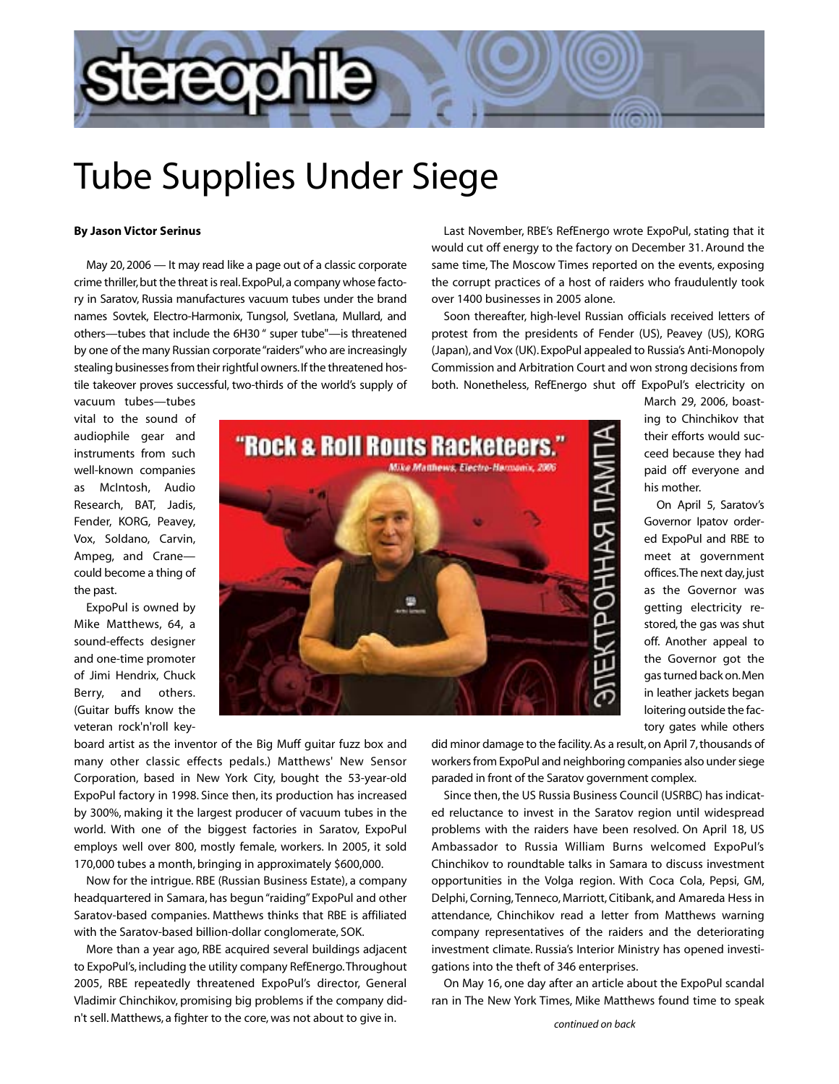

## Tube Supplies Under Siege

## **By Jason Victor Serinus**

May 20, 2006 — It may read like a page out of a classic corporate crime thriller, but the threat is real. ExpoPul, a company whose factory in Saratov, Russia manufactures vacuum tubes under the brand names Sovtek, Electro-Harmonix, Tungsol, Svetlana, Mullard, and others—tubes that include the 6H30 " super tube"—is threatened by one of the many Russian corporate "raiders"who are increasingly stealing businesses from their rightful owners.If the threatened hostile takeover proves successful, two-thirds of the world's supply of

Last November, RBE's RefEnergo wrote ExpoPul, stating that it would cut off energy to the factory on December 31. Around the same time, The Moscow Times reported on the events, exposing the corrupt practices of a host of raiders who fraudulently took over 1400 businesses in 2005 alone.

Soon thereafter, high-level Russian officials received letters of protest from the presidents of Fender (US), Peavey (US), KORG (Japan), and Vox (UK). ExpoPul appealed to Russia's Anti-Monopoly Commission and Arbitration Court and won strong decisions from both. Nonetheless, RefEnergo shut off ExpoPul's electricity on

vacuum tubes—tubes vital to the sound of audiophile gear and instruments from such well-known companies as McIntosh, Audio Research, BAT, Jadis, Fender, KORG, Peavey, Vox, Soldano, Carvin, Ampeg, and Crane could become a thing of the past.

ExpoPul is owned by Mike Matthews, 64, a sound-effects designer and one-time promoter of Jimi Hendrix, Chuck Berry, and others. (Guitar buffs know the veteran rock'n'roll key-



March 29, 2006, boasting to Chinchikov that their efforts would succeed because they had paid off everyone and his mother.

On April 5, Saratov's Governor Ipatov ordered ExpoPul and RBE to meet at government offices.The next day, just as the Governor was getting electricity restored, the gas was shut off. Another appeal to the Governor got the gas turned back on.Men in leather jackets began loitering outside the factory gates while others

board artist as the inventor of the Big Muff guitar fuzz box and many other classic effects pedals.) Matthews' New Sensor Corporation, based in New York City, bought the 53-year-old ExpoPul factory in 1998. Since then, its production has increased by 300%, making it the largest producer of vacuum tubes in the world. With one of the biggest factories in Saratov, ExpoPul employs well over 800, mostly female, workers. In 2005, it sold 170,000 tubes a month, bringing in approximately \$600,000.

Now for the intrigue. RBE (Russian Business Estate), a company headquartered in Samara, has begun "raiding" ExpoPul and other Saratov-based companies. Matthews thinks that RBE is affiliated with the Saratov-based billion-dollar conglomerate, SOK.

More than a year ago, RBE acquired several buildings adjacent to ExpoPul's, including the utility company RefEnergo.Throughout 2005, RBE repeatedly threatened ExpoPul's director, General Vladimir Chinchikov, promising big problems if the company didn't sell. Matthews, a fighter to the core, was not about to give in.

did minor damage to the facility. As a result, on April 7, thousands of workers from ExpoPul and neighboring companies also under siege paraded in front of the Saratov government complex.

Since then, the US Russia Business Council (USRBC) has indicated reluctance to invest in the Saratov region until widespread problems with the raiders have been resolved. On April 18, US Ambassador to Russia William Burns welcomed ExpoPul's Chinchikov to roundtable talks in Samara to discuss investment opportunities in the Volga region. With Coca Cola, Pepsi, GM, Delphi, Corning, Tenneco, Marriott, Citibank, and Amareda Hess in attendance, Chinchikov read a letter from Matthews warning company representatives of the raiders and the deteriorating investment climate. Russia's Interior Ministry has opened investigations into the theft of 346 enterprises.

On May 16, one day after an article about the ExpoPul scandal ran in The New York Times, Mike Matthews found time to speak